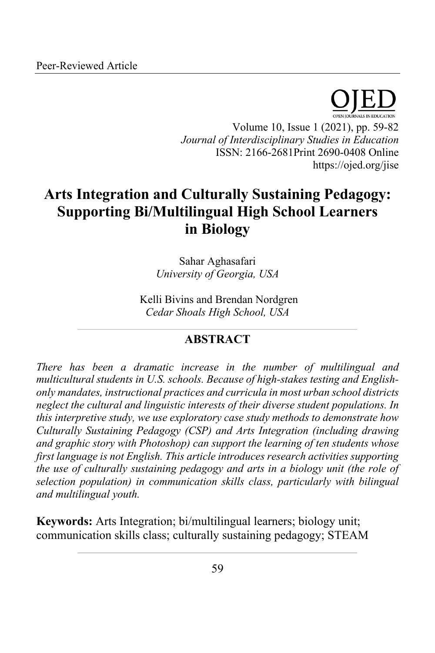

Volume 10, Issue 1 (2021), pp. 59-82 *Journal of Interdisciplinary Studies in Education* ISSN: 2166-2681Print 2690-0408 Online https://ojed.org/jise

# **Arts Integration and Culturally Sustaining Pedagogy: Supporting Bi/Multilingual High School Learners in Biology**

Sahar Aghasafari *University of Georgia, USA*

Kelli Bivins and Brendan Nordgren *Cedar Shoals High School, USA*

## **ABSTRACT**

*There has been a dramatic increase in the number of multilingual and multicultural students in U.S. schools. Because of high-stakes testing and Englishonly mandates, instructional practices and curricula in most urban school districts neglect the cultural and linguistic interests of their diverse student populations. In this interpretive study, we use exploratory case study methods to demonstrate how Culturally Sustaining Pedagogy (CSP) and Arts Integration (including drawing and graphic story with Photoshop) can support the learning of ten students whose first language is not English. This article introduces research activities supporting the use of culturally sustaining pedagogy and arts in a biology unit (the role of selection population) in communication skills class, particularly with bilingual and multilingual youth.*

**Keywords:** Arts Integration; bi/multilingual learners; biology unit; communication skills class; culturally sustaining pedagogy; STEAM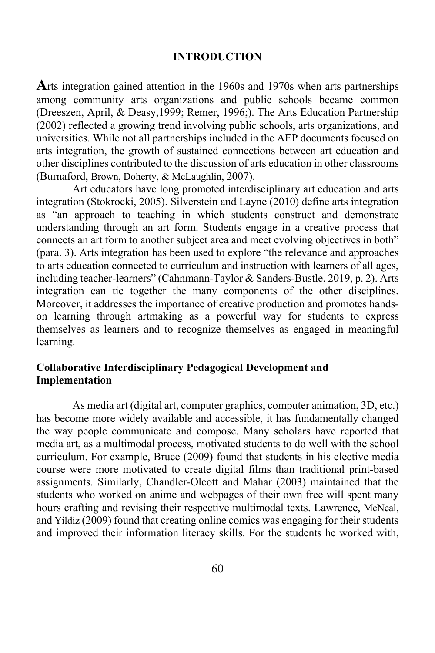#### **INTRODUCTION**

**A**rts integration gained attention in the 1960s and 1970s when arts partnerships among community arts organizations and public schools became common (Dreeszen, April, & Deasy,1999; Remer, 1996;). The Arts Education Partnership (2002) reflected a growing trend involving public schools, arts organizations, and universities. While not all partnerships included in the AEP documents focused on arts integration, the growth of sustained connections between art education and other disciplines contributed to the discussion of arts education in other classrooms (Burnaford, Brown, Doherty, & McLaughlin, 2007).

Art educators have long promoted interdisciplinary art education and arts integration (Stokrocki, 2005). Silverstein and Layne (2010) define arts integration as "an approach to teaching in which students construct and demonstrate understanding through an art form. Students engage in a creative process that connects an art form to another subject area and meet evolving objectives in both" (para. 3). Arts integration has been used to explore "the relevance and approaches to arts education connected to curriculum and instruction with learners of all ages, including teacher-learners" (Cahnmann-Taylor & Sanders-Bustle, 2019, p. 2). Arts integration can tie together the many components of the other disciplines. Moreover, it addresses the importance of creative production and promotes handson learning through artmaking as a powerful way for students to express themselves as learners and to recognize themselves as engaged in meaningful learning.

## **Collaborative Interdisciplinary Pedagogical Development and Implementation**

As media art (digital art, computer graphics, computer animation, 3D, etc.) has become more widely available and accessible, it has fundamentally changed the way people communicate and compose. Many scholars have reported that media art, as a multimodal process, motivated students to do well with the school curriculum. For example, Bruce (2009) found that students in his elective media course were more motivated to create digital films than traditional print-based assignments. Similarly, Chandler-Olcott and Mahar (2003) maintained that the students who worked on anime and webpages of their own free will spent many hours crafting and revising their respective multimodal texts. Lawrence, McNeal, and Yildiz (2009) found that creating online comics was engaging for their students and improved their information literacy skills. For the students he worked with,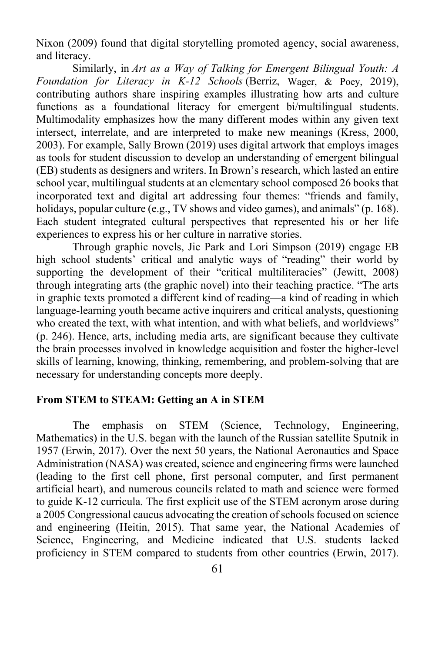Nixon (2009) found that digital storytelling promoted agency, social awareness, and literacy.

Similarly, in *Art as a Way of Talking for Emergent Bilingual Youth: A Foundation for Literacy in K-12 Schools* (Berriz, Wager, & Poey, 2019), contributing authors share inspiring examples illustrating how arts and culture functions as a foundational literacy for emergent bi/multilingual students. Multimodality emphasizes how the many different modes within any given text intersect, interrelate, and are interpreted to make new meanings (Kress, 2000, 2003). For example, Sally Brown (2019) uses digital artwork that employs images as tools for student discussion to develop an understanding of emergent bilingual (EB) students as designers and writers. In Brown's research, which lasted an entire school year, multilingual students at an elementary school composed 26 books that incorporated text and digital art addressing four themes: "friends and family, holidays, popular culture (e.g., TV shows and video games), and animals" (p. 168). Each student integrated cultural perspectives that represented his or her life experiences to express his or her culture in narrative stories.

Through graphic novels, Jie Park and Lori Simpson (2019) engage EB high school students' critical and analytic ways of "reading" their world by supporting the development of their "critical multiliteracies" (Jewitt, 2008) through integrating arts (the graphic novel) into their teaching practice. "The arts in graphic texts promoted a different kind of reading—a kind of reading in which language-learning youth became active inquirers and critical analysts, questioning who created the text, with what intention, and with what beliefs, and worldviews" (p. 246). Hence, arts, including media arts, are significant because they cultivate the brain processes involved in knowledge acquisition and foster the higher-level skills of learning, knowing, thinking, remembering, and problem-solving that are necessary for understanding concepts more deeply.

#### **From STEM to STEAM: Getting an A in STEM**

The emphasis on STEM (Science, Technology, Engineering, Mathematics) in the U.S. began with the launch of the Russian satellite Sputnik in 1957 (Erwin, 2017). Over the next 50 years, the National Aeronautics and Space Administration (NASA) was created, science and engineering firms were launched (leading to the first cell phone, first personal computer, and first permanent artificial heart), and numerous councils related to math and science were formed to guide K-12 curricula. The first explicit use of the STEM acronym arose during a 2005 Congressional caucus advocating the creation of schools focused on science and engineering (Heitin, 2015). That same year, the National Academies of Science, Engineering, and Medicine indicated that U.S. students lacked proficiency in STEM compared to students from other countries (Erwin, 2017).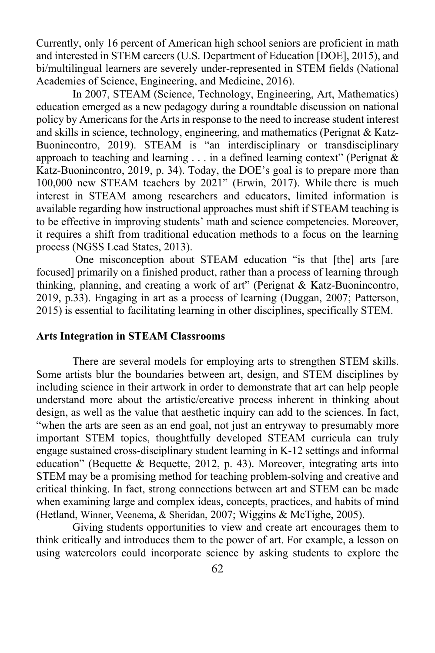Currently, only 16 percent of American high school seniors are proficient in math and interested in STEM careers (U.S. Department of Education [DOE], 2015), and bi/multilingual learners are severely under-represented in STEM fields (National Academies of Science, Engineering, and Medicine, 2016).

In 2007, STEAM (Science, Technology, Engineering, Art, Mathematics) education emerged as a new pedagogy during a roundtable discussion on national policy by Americans for the Arts in response to the need to increase student interest and skills in science, technology, engineering, and mathematics (Perignat & Katz-Buonincontro, 2019). STEAM is "an interdisciplinary or transdisciplinary approach to teaching and learning  $\ldots$  in a defined learning context" (Perignat & Katz-Buonincontro, 2019, p. 34). Today, the DOE's goal is to prepare more than 100,000 new STEAM teachers by 2021" (Erwin, 2017). While there is much interest in STEAM among researchers and educators, limited information is available regarding how instructional approaches must shift if STEAM teaching is to be effective in improving students' math and science competencies. Moreover, it requires a shift from traditional education methods to a focus on the learning process (NGSS Lead States, 2013).

One misconception about STEAM education "is that [the] arts [are focused] primarily on a finished product, rather than a process of learning through thinking, planning, and creating a work of art" (Perignat & Katz-Buonincontro, 2019, p.33). Engaging in art as a process of learning (Duggan, 2007; Patterson, 2015) is essential to facilitating learning in other disciplines, specifically STEM.

#### **Arts Integration in STEAM Classrooms**

There are several models for employing arts to strengthen STEM skills. Some artists blur the boundaries between art, design, and STEM disciplines by including science in their artwork in order to demonstrate that art can help people understand more about the artistic/creative process inherent in thinking about design, as well as the value that aesthetic inquiry can add to the sciences. In fact, "when the arts are seen as an end goal, not just an entryway to presumably more important STEM topics, thoughtfully developed STEAM curricula can truly engage sustained cross-disciplinary student learning in K-12 settings and informal education" (Bequette & Bequette, 2012, p. 43). Moreover, integrating arts into STEM may be a promising method for teaching problem-solving and creative and critical thinking. In fact, strong connections between art and STEM can be made when examining large and complex ideas, concepts, practices, and habits of mind (Hetland, Winner, Veenema, & Sheridan, 2007; Wiggins & McTighe, 2005).

Giving students opportunities to view and create art encourages them to think critically and introduces them to the power of art. For example, a lesson on using watercolors could incorporate science by asking students to explore the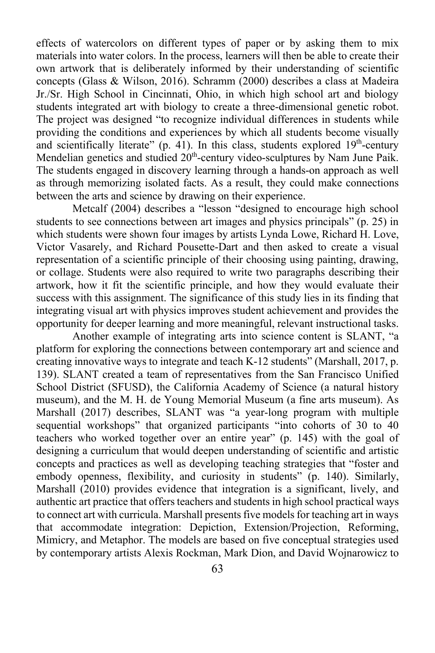effects of watercolors on different types of paper or by asking them to mix materials into water colors. In the process, learners will then be able to create their own artwork that is deliberately informed by their understanding of scientific concepts (Glass & Wilson, 2016). Schramm (2000) describes a class at Madeira Jr./Sr. High School in Cincinnati, Ohio, in which high school art and biology students integrated art with biology to create a three-dimensional genetic robot. The project was designed "to recognize individual differences in students while providing the conditions and experiences by which all students become visually and scientifically literate" (p. 41). In this class, students explored  $19<sup>th</sup>$ -century Mendelian genetics and studied  $20<sup>th</sup>$ -century video-sculptures by Nam June Paik. The students engaged in discovery learning through a hands-on approach as well as through memorizing isolated facts. As a result, they could make connections between the arts and science by drawing on their experience.

Metcalf (2004) describes a "lesson "designed to encourage high school students to see connections between art images and physics principals" (p. 25) in which students were shown four images by artists Lynda Lowe, Richard H. Love, Victor Vasarely, and Richard Pousette-Dart and then asked to create a visual representation of a scientific principle of their choosing using painting, drawing, or collage. Students were also required to write two paragraphs describing their artwork, how it fit the scientific principle, and how they would evaluate their success with this assignment. The significance of this study lies in its finding that integrating visual art with physics improves student achievement and provides the opportunity for deeper learning and more meaningful, relevant instructional tasks.

Another example of integrating arts into science content is SLANT, "a platform for exploring the connections between contemporary art and science and creating innovative ways to integrate and teach K-12 students" (Marshall, 2017, p. 139). SLANT created a team of representatives from the San Francisco Unified School District (SFUSD), the California Academy of Science (a natural history museum), and the M. H. de Young Memorial Museum (a fine arts museum). As Marshall (2017) describes, SLANT was "a year-long program with multiple sequential workshops" that organized participants "into cohorts of 30 to 40 teachers who worked together over an entire year" (p. 145) with the goal of designing a curriculum that would deepen understanding of scientific and artistic concepts and practices as well as developing teaching strategies that "foster and embody openness, flexibility, and curiosity in students" (p. 140). Similarly, Marshall (2010) provides evidence that integration is a significant, lively, and authentic art practice that offers teachers and students in high school practical ways to connect art with curricula. Marshall presents five models for teaching art in ways that accommodate integration: Depiction, Extension/Projection, Reforming, Mimicry, and Metaphor. The models are based on five conceptual strategies used by contemporary artists Alexis Rockman, Mark Dion, and David Wojnarowicz to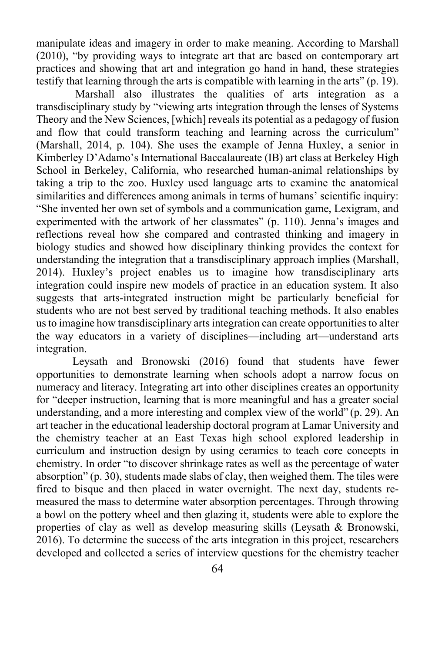manipulate ideas and imagery in order to make meaning. According to Marshall (2010), "by providing ways to integrate art that are based on contemporary art practices and showing that art and integration go hand in hand, these strategies testify that learning through the arts is compatible with learning in the arts" (p. 19).

Marshall also illustrates the qualities of arts integration as a transdisciplinary study by "viewing arts integration through the lenses of Systems Theory and the New Sciences, [which] reveals its potential as a pedagogy of fusion and flow that could transform teaching and learning across the curriculum" (Marshall, 2014, p. 104). She uses the example of Jenna Huxley, a senior in Kimberley D'Adamo's International Baccalaureate (IB) art class at Berkeley High School in Berkeley, California, who researched human-animal relationships by taking a trip to the zoo. Huxley used language arts to examine the anatomical similarities and differences among animals in terms of humans' scientific inquiry: "She invented her own set of symbols and a communication game, Lexigram, and experimented with the artwork of her classmates" (p. 110). Jenna's images and reflections reveal how she compared and contrasted thinking and imagery in biology studies and showed how disciplinary thinking provides the context for understanding the integration that a transdisciplinary approach implies (Marshall, 2014). Huxley's project enables us to imagine how transdisciplinary arts integration could inspire new models of practice in an education system. It also suggests that arts-integrated instruction might be particularly beneficial for students who are not best served by traditional teaching methods. It also enables us to imagine how transdisciplinary arts integration can create opportunities to alter the way educators in a variety of disciplines—including art—understand arts integration.

Leysath and Bronowski (2016) found that students have fewer opportunities to demonstrate learning when schools adopt a narrow focus on numeracy and literacy. Integrating art into other disciplines creates an opportunity for "deeper instruction, learning that is more meaningful and has a greater social understanding, and a more interesting and complex view of the world" (p. 29). An art teacher in the educational leadership doctoral program at Lamar University and the chemistry teacher at an East Texas high school explored leadership in curriculum and instruction design by using ceramics to teach core concepts in chemistry. In order "to discover shrinkage rates as well as the percentage of water absorption" (p. 30), students made slabs of clay, then weighed them. The tiles were fired to bisque and then placed in water overnight. The next day, students remeasured the mass to determine water absorption percentages. Through throwing a bowl on the pottery wheel and then glazing it, students were able to explore the properties of clay as well as develop measuring skills (Leysath & Bronowski, 2016). To determine the success of the arts integration in this project, researchers developed and collected a series of interview questions for the chemistry teacher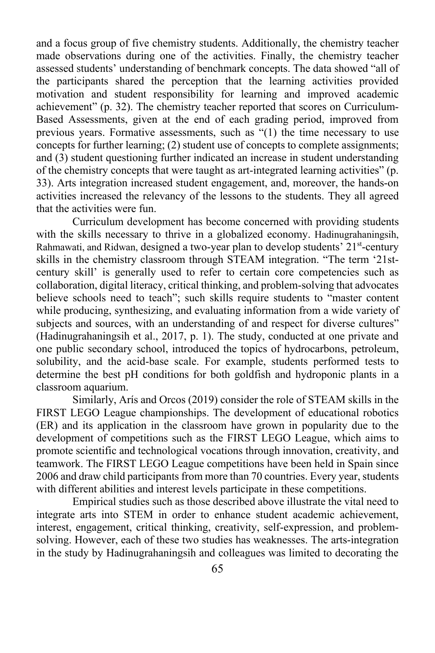and a focus group of five chemistry students. Additionally, the chemistry teacher made observations during one of the activities. Finally, the chemistry teacher assessed students' understanding of benchmark concepts. The data showed "all of the participants shared the perception that the learning activities provided motivation and student responsibility for learning and improved academic achievement" (p. 32). The chemistry teacher reported that scores on Curriculum-Based Assessments, given at the end of each grading period, improved from previous years. Formative assessments, such as "(1) the time necessary to use concepts for further learning; (2) student use of concepts to complete assignments; and (3) student questioning further indicated an increase in student understanding of the chemistry concepts that were taught as art-integrated learning activities" (p. 33). Arts integration increased student engagement, and, moreover, the hands-on activities increased the relevancy of the lessons to the students. They all agreed that the activities were fun.

Curriculum development has become concerned with providing students with the skills necessary to thrive in a globalized economy. Hadinugrahaningsih, Rahmawati, and Ridwan, designed a two-year plan to develop students'  $21<sup>st</sup>$ -century skills in the chemistry classroom through STEAM integration. "The term '21stcentury skill' is generally used to refer to certain core competencies such as collaboration, digital literacy, critical thinking, and problem-solving that advocates believe schools need to teach"; such skills require students to "master content while producing, synthesizing, and evaluating information from a wide variety of subjects and sources, with an understanding of and respect for diverse cultures" (Hadinugrahaningsih et al., 2017, p. 1). The study, conducted at one private and one public secondary school, introduced the topics of hydrocarbons, petroleum, solubility, and the acid-base scale. For example, students performed tests to determine the best pH conditions for both goldfish and hydroponic plants in a classroom aquarium.

Similarly, Arís and Orcos (2019) consider the role of STEAM skills in the FIRST LEGO League championships. The development of educational robotics (ER) and its application in the classroom have grown in popularity due to the development of competitions such as the FIRST LEGO League, which aims to promote scientific and technological vocations through innovation, creativity, and teamwork. The FIRST LEGO League competitions have been held in Spain since 2006 and draw child participants from more than 70 countries. Every year, students with different abilities and interest levels participate in these competitions.

Empirical studies such as those described above illustrate the vital need to integrate arts into STEM in order to enhance student academic achievement, interest, engagement, critical thinking, creativity, self-expression, and problemsolving. However, each of these two studies has weaknesses. The arts-integration in the study by Hadinugrahaningsih and colleagues was limited to decorating the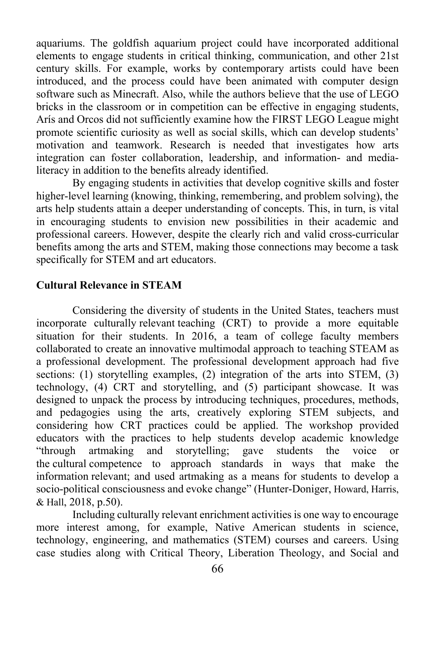aquariums. The goldfish aquarium project could have incorporated additional elements to engage students in critical thinking, communication, and other 21st century skills. For example, works by contemporary artists could have been introduced, and the process could have been animated with computer design software such as Minecraft. Also, while the authors believe that the use of LEGO bricks in the classroom or in competition can be effective in engaging students, Arís and Orcos did not sufficiently examine how the FIRST LEGO League might promote scientific curiosity as well as social skills, which can develop students' motivation and teamwork. Research is needed that investigates how arts integration can foster collaboration, leadership, and information- and medialiteracy in addition to the benefits already identified.

By engaging students in activities that develop cognitive skills and foster higher-level learning (knowing, thinking, remembering, and problem solving), the arts help students attain a deeper understanding of concepts. This, in turn, is vital in encouraging students to envision new possibilities in their academic and professional careers. However, despite the clearly rich and valid cross-curricular benefits among the arts and STEM, making those connections may become a task specifically for STEM and art educators.

## **Cultural Relevance in STEAM**

Considering the diversity of students in the United States, teachers must incorporate culturally relevant teaching (CRT) to provide a more equitable situation for their students. In 2016, a team of college faculty members collaborated to create an innovative multimodal approach to teaching STEAM as a professional development. The professional development approach had five sections: (1) storytelling examples, (2) integration of the arts into STEM, (3) technology, (4) CRT and storytelling, and (5) participant showcase. It was designed to unpack the process by introducing techniques, procedures, methods, and pedagogies using the arts, creatively exploring STEM subjects, and considering how CRT practices could be applied. The workshop provided educators with the practices to help students develop academic knowledge "through artmaking and storytelling; gave students the voice or the cultural competence to approach standards in ways that make the information relevant; and used artmaking as a means for students to develop a socio-political consciousness and evoke change" (Hunter-Doniger, Howard, Harris, & Hall, 2018, p.50).

Including culturally relevant enrichment activities is one way to encourage more interest among, for example, Native American students in science, technology, engineering, and mathematics (STEM) courses and careers. Using case studies along with Critical Theory, Liberation Theology, and Social and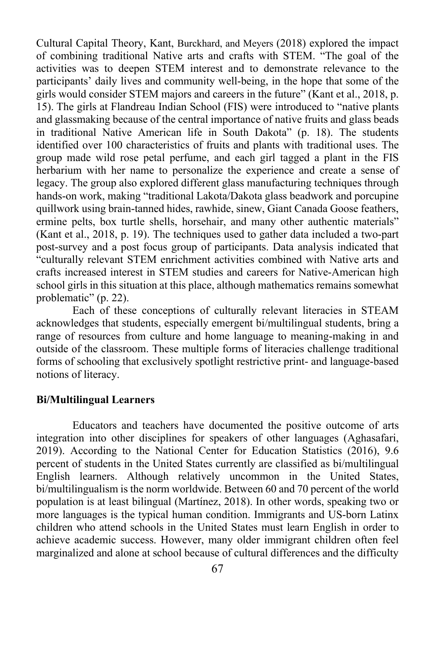Cultural Capital Theory, Kant, Burckhard, and Meyers (2018) explored the impact of combining traditional Native arts and crafts with STEM. "The goal of the activities was to deepen STEM interest and to demonstrate relevance to the participants' daily lives and community well-being, in the hope that some of the girls would consider STEM majors and careers in the future" (Kant et al., 2018, p. 15). The girls at Flandreau Indian School (FIS) were introduced to "native plants and glassmaking because of the central importance of native fruits and glass beads in traditional Native American life in South Dakota" (p. 18). The students identified over 100 characteristics of fruits and plants with traditional uses. The group made wild rose petal perfume, and each girl tagged a plant in the FIS herbarium with her name to personalize the experience and create a sense of legacy. The group also explored different glass manufacturing techniques through hands-on work, making "traditional Lakota/Dakota glass beadwork and porcupine quillwork using brain-tanned hides, rawhide, sinew, Giant Canada Goose feathers, ermine pelts, box turtle shells, horsehair, and many other authentic materials" (Kant et al., 2018, p. 19). The techniques used to gather data included a two-part post-survey and a post focus group of participants. Data analysis indicated that "culturally relevant STEM enrichment activities combined with Native arts and crafts increased interest in STEM studies and careers for Native-American high school girls in this situation at this place, although mathematics remains somewhat problematic" (p. 22).

Each of these conceptions of culturally relevant literacies in STEAM acknowledges that students, especially emergent bi/multilingual students, bring a range of resources from culture and home language to meaning-making in and outside of the classroom. These multiple forms of literacies challenge traditional forms of schooling that exclusively spotlight restrictive print- and language-based notions of literacy.

#### **Bi/Multilingual Learners**

Educators and teachers have documented the positive outcome of arts integration into other disciplines for speakers of other languages (Aghasafari, 2019). According to the National Center for Education Statistics (2016), 9.6 percent of students in the United States currently are classified as bi/multilingual English learners. Although relatively uncommon in the United States, bi/multilingualism is the norm worldwide. Between 60 and 70 percent of the world population is at least bilingual (Martínez, 2018). In other words, speaking two or more languages is the typical human condition. Immigrants and US-born Latinx children who attend schools in the United States must learn English in order to achieve academic success. However, many older immigrant children often feel marginalized and alone at school because of cultural differences and the difficulty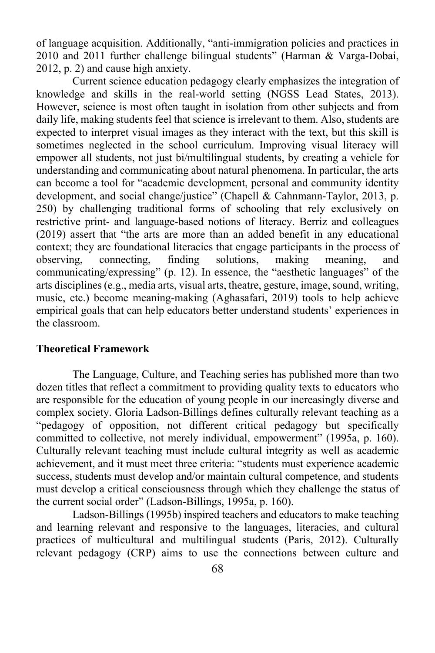of language acquisition. Additionally, "anti-immigration policies and practices in 2010 and 2011 further challenge bilingual students" (Harman & Varga-Dobai, 2012, p. 2) and cause high anxiety.

Current science education pedagogy clearly emphasizes the integration of knowledge and skills in the real-world setting (NGSS Lead States, 2013). However, science is most often taught in isolation from other subjects and from daily life, making students feel that science is irrelevant to them. Also, students are expected to interpret visual images as they interact with the text, but this skill is sometimes neglected in the school curriculum. Improving visual literacy will empower all students, not just bi/multilingual students, by creating a vehicle for understanding and communicating about natural phenomena. In particular, the arts can become a tool for "academic development, personal and community identity development, and social change/justice" (Chapell & Cahnmann-Taylor, 2013, p. 250) by challenging traditional forms of schooling that rely exclusively on restrictive print- and language-based notions of literacy. Berriz and colleagues (2019) assert that "the arts are more than an added benefit in any educational context; they are foundational literacies that engage participants in the process of observing, connecting, finding solutions, making meaning, and communicating/expressing" (p. 12). In essence, the "aesthetic languages" of the arts disciplines (e.g., media arts, visual arts, theatre, gesture, image, sound, writing, music, etc.) become meaning-making (Aghasafari, 2019) tools to help achieve empirical goals that can help educators better understand students' experiences in the classroom.

#### **Theoretical Framework**

The Language, Culture, and Teaching series has published more than two dozen titles that reflect a commitment to providing quality texts to educators who are responsible for the education of young people in our increasingly diverse and complex society. Gloria Ladson-Billings defines culturally relevant teaching as a "pedagogy of opposition, not different critical pedagogy but specifically committed to collective, not merely individual, empowerment" (1995a, p. 160). Culturally relevant teaching must include cultural integrity as well as academic achievement, and it must meet three criteria: "students must experience academic success, students must develop and/or maintain cultural competence, and students must develop a critical consciousness through which they challenge the status of the current social order" (Ladson-Billings, 1995a, p. 160).

Ladson-Billings (1995b) inspired teachers and educators to make teaching and learning relevant and responsive to the languages, literacies, and cultural practices of multicultural and multilingual students (Paris, 2012). Culturally relevant pedagogy (CRP) aims to use the connections between culture and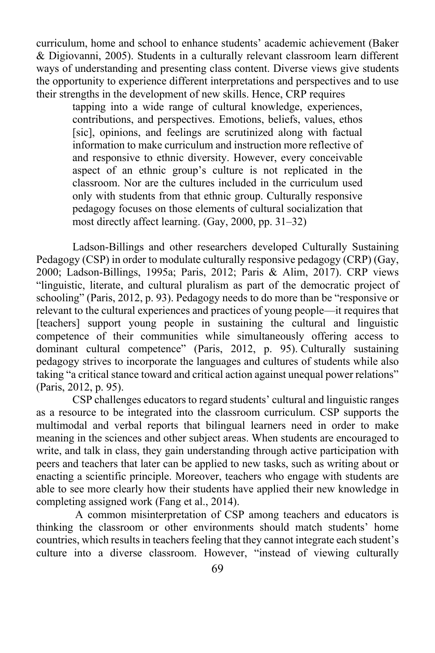curriculum, home and school to enhance students' academic achievement (Baker & Digiovanni, 2005). Students in a culturally relevant classroom learn different ways of understanding and presenting class content. Diverse views give students the opportunity to experience different interpretations and perspectives and to use their strengths in the development of new skills. Hence, CRP requires

tapping into a wide range of cultural knowledge, experiences, contributions, and perspectives. Emotions, beliefs, values, ethos [sic], opinions, and feelings are scrutinized along with factual information to make curriculum and instruction more reflective of and responsive to ethnic diversity. However, every conceivable aspect of an ethnic group's culture is not replicated in the classroom. Nor are the cultures included in the curriculum used only with students from that ethnic group. Culturally responsive pedagogy focuses on those elements of cultural socialization that most directly affect learning. (Gay, 2000, pp. 31–32)

Ladson-Billings and other researchers developed Culturally Sustaining Pedagogy (CSP) in order to modulate culturally responsive pedagogy (CRP) (Gay, 2000; Ladson-Billings, 1995a; Paris, 2012; Paris & Alim, 2017). CRP views "linguistic, literate, and cultural pluralism as part of the democratic project of schooling" (Paris, 2012, p. 93). Pedagogy needs to do more than be "responsive or relevant to the cultural experiences and practices of young people—it requires that [teachers] support young people in sustaining the cultural and linguistic competence of their communities while simultaneously offering access to dominant cultural competence" (Paris, 2012, p. 95). Culturally sustaining pedagogy strives to incorporate the languages and cultures of students while also taking "a critical stance toward and critical action against unequal power relations" (Paris, 2012, p. 95).

CSP challenges educators to regard students' cultural and linguistic ranges as a resource to be integrated into the classroom curriculum. CSP supports the multimodal and verbal reports that bilingual learners need in order to make meaning in the sciences and other subject areas. When students are encouraged to write, and talk in class, they gain understanding through active participation with peers and teachers that later can be applied to new tasks, such as writing about or enacting a scientific principle. Moreover, teachers who engage with students are able to see more clearly how their students have applied their new knowledge in completing assigned work (Fang et al., 2014).

A common misinterpretation of CSP among teachers and educators is thinking the classroom or other environments should match students' home countries, which results in teachers feeling that they cannot integrate each student's culture into a diverse classroom. However, "instead of viewing culturally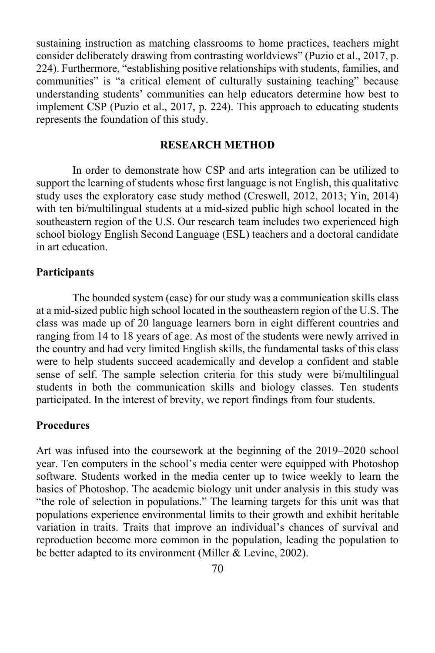sustaining instruction as matching classrooms to home practices, teachers might consider deliberately drawing from contrasting worldviews" (Puzio et al., 2017, p. 224). Furthermore, "establishing positive relationships with students, families, and communities" is "a critical element of culturally sustaining teaching" because understanding students' communities can help educators determine how best to implement CSP (Puzio et al., 2017, p. 224). This approach to educating students represents the foundation of this study.

#### **RESEARCH METHOD**

In order to demonstrate how CSP and arts integration can be utilized to support the learning of students whose first language is not English, this qualitative study uses the exploratory case study method (Creswell, 2012, 2013; Yin, 2014) with ten bi/multilingual students at a mid-sized public high school located in the southeastern region of the U.S. Our research team includes two experienced high school biology English Second Language (ESL) teachers and a doctoral candidate in art education.

#### **Participants**

The bounded system (case) for our study was a communication skills class at a mid-sized public high school located in the southeastern region of the U.S. The class was made up of 20 language learners born in eight different countries and ranging from 14 to 18 years of age. As most of the students were newly arrived in the country and had very limited English skills, the fundamental tasks of this class were to help students succeed academically and develop a confident and stable sense of self. The sample selection criteria for this study were bi/multilingual students in both the communication skills and biology classes. Ten students participated. In the interest of brevity, we report findings from four students.

#### **Procedures**

Art was infused into the coursework at the beginning of the 2019–2020 school year. Ten computers in the school's media center were equipped with Photoshop software. Students worked in the media center up to twice weekly to learn the basics of Photoshop. The academic biology unit under analysis in this study was "the role of selection in populations." The learning targets for this unit was that populations experience environmental limits to their growth and exhibit heritable variation in traits. Traits that improve an individual's chances of survival and reproduction become more common in the population, leading the population to be better adapted to its environment (Miller & Levine, 2002).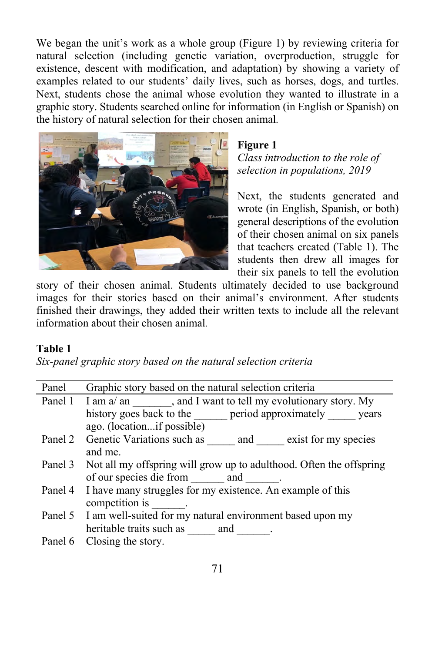We began the unit's work as a whole group (Figure 1) by reviewing criteria for natural selection (including genetic variation, overproduction, struggle for existence, descent with modification, and adaptation) by showing a variety of examples related to our students' daily lives, such as horses, dogs, and turtles. Next, students chose the animal whose evolution they wanted to illustrate in a graphic story. Students searched online for information (in English or Spanish) on the history of natural selection for their chosen animal*.*



## **Figure 1**

*Class introduction to the role of selection in populations, 2019*

Next, the students generated and wrote (in English, Spanish, or both) general descriptions of the evolution of their chosen animal on six panels that teachers created (Table 1). The students then drew all images for their six panels to tell the evolution

story of their chosen animal. Students ultimately decided to use background images for their stories based on their animal's environment. After students finished their drawings, they added their written texts to include all the relevant information about their chosen animal*.*

## **Table 1**

*Six-panel graphic story based on the natural selection criteria*

| Panel 1 I am a/ an , and I want to tell my evolutionary story. My<br>history goes back to the period approximately years |  |  |
|--------------------------------------------------------------------------------------------------------------------------|--|--|
|                                                                                                                          |  |  |
|                                                                                                                          |  |  |
|                                                                                                                          |  |  |
| Panel 2 Genetic Variations such as and exist for my species                                                              |  |  |
|                                                                                                                          |  |  |
| Panel 3 Not all my offspring will grow up to adulthood. Often the offspring                                              |  |  |
|                                                                                                                          |  |  |
|                                                                                                                          |  |  |
|                                                                                                                          |  |  |
| Panel 5 I am well-suited for my natural environment based upon my<br>heritable traits such as ______ and _______         |  |  |
|                                                                                                                          |  |  |
|                                                                                                                          |  |  |
|                                                                                                                          |  |  |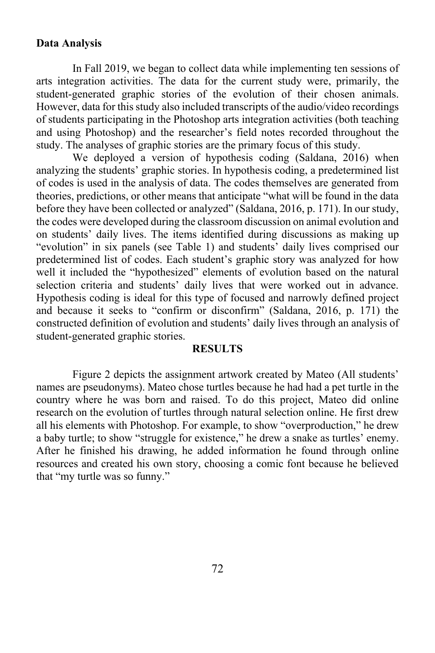#### **Data Analysis**

In Fall 2019, we began to collect data while implementing ten sessions of arts integration activities. The data for the current study were, primarily, the student-generated graphic stories of the evolution of their chosen animals. However, data for this study also included transcripts of the audio/video recordings of students participating in the Photoshop arts integration activities (both teaching and using Photoshop) and the researcher's field notes recorded throughout the study. The analyses of graphic stories are the primary focus of this study.

We deployed a version of hypothesis coding (Saldana, 2016) when analyzing the students' graphic stories. In hypothesis coding, a predetermined list of codes is used in the analysis of data. The codes themselves are generated from theories, predictions, or other means that anticipate "what will be found in the data before they have been collected or analyzed" (Saldana, 2016, p. 171). In our study, the codes were developed during the classroom discussion on animal evolution and on students' daily lives. The items identified during discussions as making up "evolution" in six panels (see Table 1) and students' daily lives comprised our predetermined list of codes. Each student's graphic story was analyzed for how well it included the "hypothesized" elements of evolution based on the natural selection criteria and students' daily lives that were worked out in advance. Hypothesis coding is ideal for this type of focused and narrowly defined project and because it seeks to "confirm or disconfirm" (Saldana, 2016, p. 171) the constructed definition of evolution and students' daily lives through an analysis of student-generated graphic stories.

#### **RESULTS**

Figure 2 depicts the assignment artwork created by Mateo (All students' names are pseudonyms). Mateo chose turtles because he had had a pet turtle in the country where he was born and raised. To do this project, Mateo did online research on the evolution of turtles through natural selection online. He first drew all his elements with Photoshop. For example, to show "overproduction," he drew a baby turtle; to show "struggle for existence," he drew a snake as turtles' enemy. After he finished his drawing, he added information he found through online resources and created his own story, choosing a comic font because he believed that "my turtle was so funny."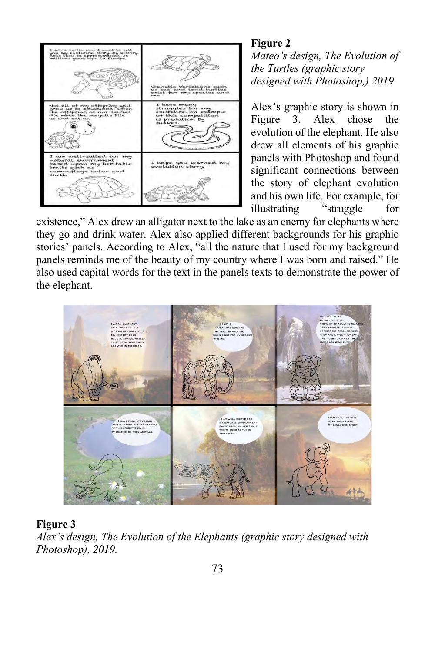

## **Figure 2**

*Mateo's design, The Evolution of the Turtles (graphic story designed with Photoshop,) 2019*

Alex's graphic story is shown in Figure 3. Alex chose the evolution of the elephant. He also drew all elements of his graphic panels with Photoshop and found significant connections between the story of elephant evolution and his own life. For example, for illustrating "struggle for

existence," Alex drew an alligator next to the lake as an enemy for elephants where they go and drink water. Alex also applied different backgrounds for his graphic stories' panels. According to Alex, "all the nature that I used for my background panels reminds me of the beauty of my country where I was born and raised." He also used capital words for the text in the panels texts to demonstrate the power of the elephant.



## **Figure 3**

*Alex's design, The Evolution of the Elephants (graphic story designed with Photoshop), 2019.*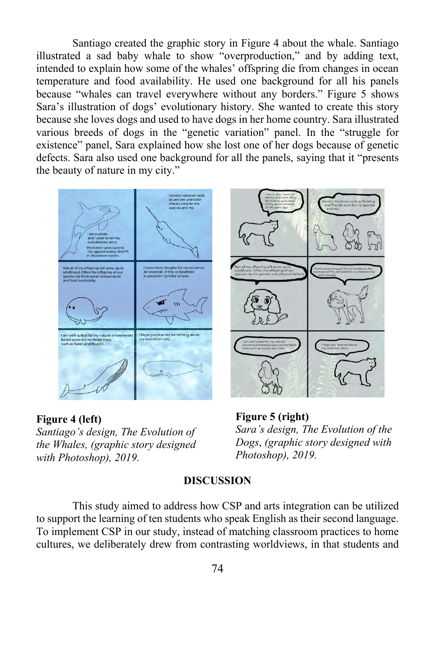Santiago created the graphic story in Figure 4 about the whale. Santiago illustrated a sad baby whale to show "overproduction," and by adding text, intended to explain how some of the whales' offspring die from changes in ocean temperature and food availability. He used one background for all his panels because "whales can travel everywhere without any borders." Figure 5 shows Sara's illustration of dogs' evolutionary history. She wanted to create this story because she loves dogs and used to have dogs in her home country. Sara illustrated various breeds of dogs in the "genetic variation" panel. In the "struggle for existence" panel, Sara explained how she lost one of her dogs because of genetic defects. Sara also used one background for all the panels, saying that it "presents the beauty of nature in my city."



**Figure 4 (left)**  *Santiago's design, The Evolution of the Whales, (graphic story designed with Photoshop), 2019.*



**Figure 5 (right)**  *Sara's design, The Evolution of the Dogs*, *(graphic story designed with Photoshop), 2019.*

## **DISCUSSION**

This study aimed to address how CSP and arts integration can be utilized to support the learning of ten students who speak English as their second language. To implement CSP in our study, instead of matching classroom practices to home cultures, we deliberately drew from contrasting worldviews, in that students and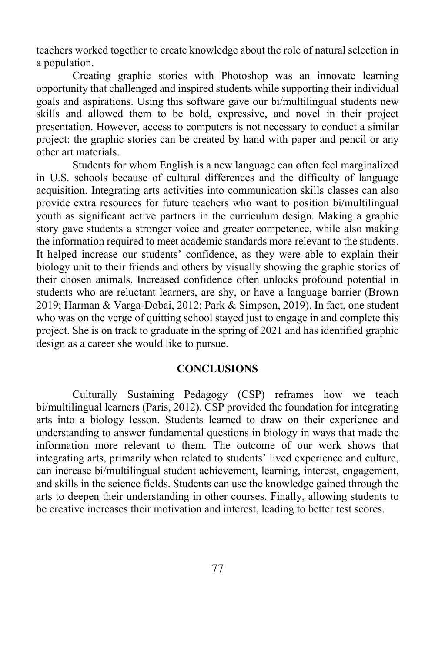teachers worked together to create knowledge about the role of natural selection in a population.

Creating graphic stories with Photoshop was an innovate learning opportunity that challenged and inspired students while supporting their individual goals and aspirations. Using this software gave our bi/multilingual students new skills and allowed them to be bold, expressive, and novel in their project presentation. However, access to computers is not necessary to conduct a similar project: the graphic stories can be created by hand with paper and pencil or any other art materials.

Students for whom English is a new language can often feel marginalized in U.S. schools because of cultural differences and the difficulty of language acquisition. Integrating arts activities into communication skills classes can also provide extra resources for future teachers who want to position bi/multilingual youth as significant active partners in the curriculum design. Making a graphic story gave students a stronger voice and greater competence, while also making the information required to meet academic standards more relevant to the students. It helped increase our students' confidence, as they were able to explain their biology unit to their friends and others by visually showing the graphic stories of their chosen animals. Increased confidence often unlocks profound potential in students who are reluctant learners, are shy, or have a language barrier (Brown 2019; Harman & Varga-Dobai, 2012; Park & Simpson, 2019). In fact, one student who was on the verge of quitting school stayed just to engage in and complete this project. She is on track to graduate in the spring of 2021 and has identified graphic design as a career she would like to pursue.

### **CONCLUSIONS**

Culturally Sustaining Pedagogy (CSP) reframes how we teach bi/multilingual learners (Paris, 2012). CSP provided the foundation for integrating arts into a biology lesson. Students learned to draw on their experience and understanding to answer fundamental questions in biology in ways that made the information more relevant to them. The outcome of our work shows that integrating arts, primarily when related to students' lived experience and culture, can increase bi/multilingual student achievement, learning, interest, engagement, and skills in the science fields. Students can use the knowledge gained through the arts to deepen their understanding in other courses. Finally, allowing students to be creative increases their motivation and interest, leading to better test scores.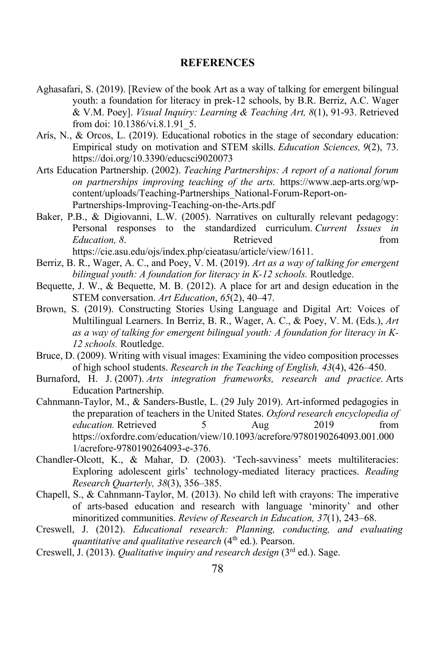#### **REFERENCES**

- Aghasafari, S. (2019). [Review of the book Art as a way of talking for emergent bilingual youth: a foundation for literacy in prek-12 schools, by B.R. Berriz, A.C. Wager & V.M. Poey]. *Visual Inquiry: Learning & Teaching Art, 8*(1), 91-93. Retrieved from doi: 10.1386/vi.8.1.91\_5.
- Arís, N., & Orcos, L. (2019). Educational robotics in the stage of secondary education: Empirical study on motivation and STEM skills. *Education Sciences, 9*(2), 73. https://doi.org/10.3390/educsci9020073
- Arts Education Partnership. (2002). *Teaching Partnerships: A report of a national forum on partnerships improving teaching of the arts.* https://www.aep-arts.org/wpcontent/uploads/Teaching-Partnerships\_National-Forum-Report-on-Partnerships-Improving-Teaching-on-the-Arts.pdf
- Baker, P.B., & Digiovanni, L.W. (2005). Narratives on culturally relevant pedagogy: Personal responses to the standardized curriculum. *Current Issues in Education,* 8. **Retrieved** *Betrieved Education,* **8.** *Retrieved Retrieved Retrieved* https://cie.asu.edu/ojs/index.php/cieatasu/article/view/1611.
- Berriz, B. R., Wager, A. C., and Poey, V. M. (2019). *Art as a way of talking for emergent bilingual youth: A foundation for literacy in K-12 schools.* Routledge.
- Bequette, J. W., & Bequette, M. B. (2012). A place for art and design education in the STEM conversation. *Art Education*, *65*(2), 40–47.
- Brown, S. (2019). Constructing Stories Using Language and Digital Art: Voices of Multilingual Learners. In Berriz, B. R., Wager, A. C., & Poey, V. M. (Eds.), *Art as a way of talking for emergent bilingual youth: A foundation for literacy in K-12 schools.* Routledge.
- Bruce, D. (2009). Writing with visual images: Examining the video composition processes of high school students. *Research in the Teaching of English, 43*(4), 426–450.
- Burnaford, H. J. (2007). *Arts integration frameworks, research and practice.* Arts Education Partnership.
- Cahnmann-Taylor, M., & Sanders-Bustle, L. (29 July 2019). Art-informed pedagogies in the preparation of teachers in the United States. *Oxford research encyclopedia of education.* Retrieved 5 Aug 2019 from https://oxfordre.com/education/view/10.1093/acrefore/9780190264093.001.000 1/acrefore-9780190264093-e-376.
- Chandler-Olcott, K., & Mahar, D. (2003). 'Tech-savviness' meets multiliteracies: Exploring adolescent girls' technology-mediated literacy practices. *Reading Research Quarterly, 38*(3), 356–385.
- Chapell, S., & Cahnmann-Taylor, M. (2013). No child left with crayons: The imperative of arts-based education and research with language 'minority' and other minoritized communities. *Review of Research in Education, 37*(1), 243–68.
- Creswell, J. (2012). *Educational research: Planning, conducting, and evaluating quantitative and qualitative research* (4<sup>th</sup> ed.). Pearson.
- Creswell, J. (2013). *Qualitative inquiry and research design* (3rd ed.). Sage.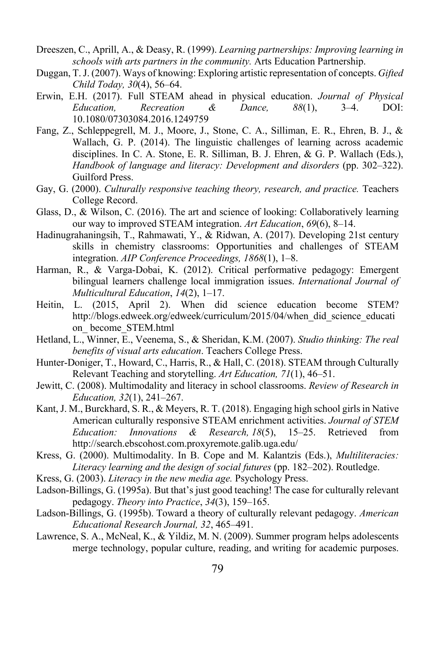- Dreeszen, C., Aprill, A., & Deasy, R. (1999). *Learning partnerships: Improving learning in schools with arts partners in the community.* Arts Education Partnership.
- Duggan, T. J. (2007). Ways of knowing: Exploring artistic representation of concepts. *Gifted Child Today, 30*(4), 56–64.
- Erwin, E.H. (2017). Full STEAM ahead in physical education. *Journal of Physical Education, Recreation & Dance, 88*(1), 3–4. DOI: 10.1080/07303084.2016.1249759
- Fang, Z., Schleppegrell, M. J., Moore, J., Stone, C. A., Silliman, E. R., Ehren, B. J., & Wallach, G. P. (2014). The linguistic challenges of learning across academic disciplines. In C. A. Stone, E. R. Silliman, B. J. Ehren, & G. P. Wallach (Eds.), *Handbook of language and literacy: Development and disorders* (pp. 302–322). Guilford Press.
- Gay, G. (2000). *Culturally responsive teaching theory, research, and practice.* Teachers College Record.
- Glass, D., & Wilson, C. (2016). The art and science of looking: Collaboratively learning our way to improved STEAM integration. *Art Education*, *69*(6), 8–14.
- Hadinugrahaningsih, T., Rahmawati, Y., & Ridwan, A. (2017). Developing 21st century skills in chemistry classrooms: Opportunities and challenges of STEAM integration. *AIP Conference Proceedings, 1868*(1), 1–8.
- Harman, R., & Varga-Dobai, K. (2012). Critical performative pedagogy: Emergent bilingual learners challenge local immigration issues. *International Journal of Multicultural Education*, *14*(2), 1–17.
- Heitin, L. (2015, April 2). When did science education become STEM? http://blogs.edweek.org/edweek/curriculum/2015/04/when\_did\_science\_educati on\_ become\_STEM.html
- Hetland, L., Winner, E., Veenema, S., & Sheridan, K.M. (2007). *Studio thinking: The real benefits of visual arts education*. Teachers College Press.
- Hunter-Doniger, T., Howard, C., Harris, R., & Hall, C. (2018). STEAM through Culturally Relevant Teaching and storytelling. *Art Education, 71*(1), 46–51.
- Jewitt, C. (2008). Multimodality and literacy in school classrooms. *Review of Research in Education, 32*(1), 241–267.
- Kant, J. M., Burckhard, S. R., & Meyers, R. T. (2018). Engaging high school girls in Native American culturally responsive STEAM enrichment activities. *Journal of STEM Education: Innovations & Research, 18*(5), 15–25. Retrieved from http://search.ebscohost.com.proxyremote.galib.uga.edu/
- Kress, G. (2000). Multimodality. In B. Cope and M. Kalantzis (Eds.), *Multiliteracies: Literacy learning and the design of social futures* (pp. 182–202). Routledge.
- Kress, G. (2003). *Literacy in the new media age.* Psychology Press.
- Ladson-Billings, G. (1995a). But that's just good teaching! The case for culturally relevant pedagogy. *Theory into Practice*, *34*(3), 159–165.
- Ladson-Billings, G. (1995b). Toward a theory of culturally relevant pedagogy. *American Educational Research Journal, 32*, 465–491.
- Lawrence, S. A., McNeal, K., & Yildiz, M. N. (2009). Summer program helps adolescents merge technology, popular culture, reading, and writing for academic purposes.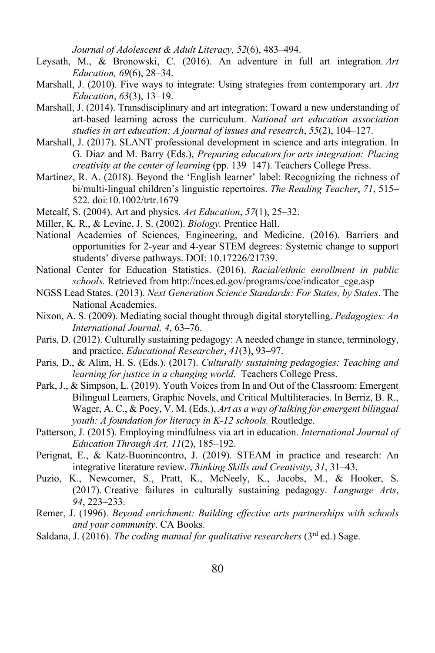*Journal of Adolescent & Adult Literacy, 52*(6), 483–494.

- Leysath, M., & Bronowski, C. (2016). An adventure in full art integration. *Art Education, 69*(6), 28–34.
- Marshall, J. (2010). Five ways to integrate: Using strategies from contemporary art. *Art Education*, *63*(3), 13–19.
- Marshall, J. (2014). Transdisciplinary and art integration: Toward a new understanding of art-based learning across the curriculum. *National art education association studies in art education: A journal of issues and research*, *55*(2), 104–127.
- Marshall, J. (2017). SLANT professional development in science and arts integration. In G. Diaz and M. Barry (Eds.), *Preparing educators for arts integration: Placing creativity at the center of learning* (pp. 139–147). Teachers College Press.
- Martínez, R. A. (2018). Beyond the 'English learner' label: Recognizing the richness of bi/multi-lingual children's linguistic repertoires. *The Reading Teacher*, *71*, 515– 522. doi:10.1002/trtr.1679
- Metcalf, S. (2004). Art and physics. *Art Education*, *57*(1), 25–32.
- Miller, K. R., & Levine, J. S. (2002). *Biology.* Prentice Hall.
- National Academies of Sciences, Engineering, and Medicine. (2016). Barriers and opportunities for 2-year and 4-year STEM degrees: Systemic change to support students' diverse pathways. DOI: 10.17226/21739.
- National Center for Education Statistics. (2016). *Racial/ethnic enrollment in public schools.* Retrieved from http://nces.ed.gov/programs/coe/indicator\_cge.asp
- NGSS Lead States. (2013). *Next Generation Science Standards: For States, by States*. The National Academies.
- Nixon, A. S. (2009). Mediating social thought through digital storytelling. *Pedagogies: An International Journal, 4*, 63–76.
- Paris, D. (2012). Culturally sustaining pedagogy: A needed change in stance, terminology, and practice. *Educational Researcher*, *41*(3), 93–97.
- Paris, D., & Alim, H. S. (Eds.). (2017). *Culturally sustaining pedagogies: Teaching and learning for justice in a changing world*. Teachers College Press.
- Park, J., & Simpson, L. (2019). Youth Voices from In and Out of the Classroom: Emergent Bilingual Learners, Graphic Novels, and Critical Multiliteracies. In Berriz, B. R., Wager, A. C., & Poey, V. M. (Eds.), *Art as a way of talking for emergent bilingual youth: A foundation for literacy in K-12 schools.* Routledge.
- Patterson, J. (2015). Employing mindfulness via art in education. *International Journal of Education Through Art, 11*(2), 185–192.
- Perignat, E., & Katz-Buonincontro, J. (2019). STEAM in practice and research: An integrative literature review. *Thinking Skills and Creativity*, *31*, 31–43.
- Puzio, K., Newcomer, S., Pratt, K., McNeely, K., Jacobs, M., & Hooker, S. (2017). Creative failures in culturally sustaining pedagogy. *Language Arts*, *94*, 223–233.
- Remer, J. (1996). *Beyond enrichment: Building effective arts partnerships with schools and your community*. CA Books.
- Saldana, J. (2016). *The coding manual for qualitative researchers* (3rd ed.) Sage.